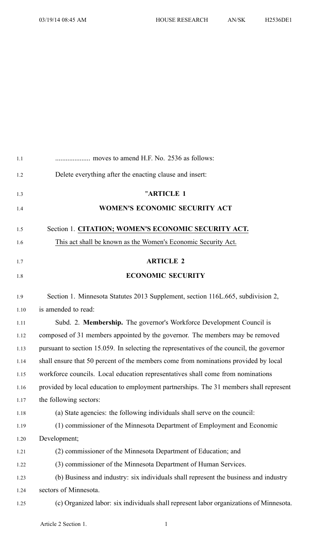| 1.1  |                                                                                           |
|------|-------------------------------------------------------------------------------------------|
| 1.2  | Delete everything after the enacting clause and insert:                                   |
| 1.3  | "ARTICLE 1                                                                                |
| 1.4  | WOMEN'S ECONOMIC SECURITY ACT                                                             |
| 1.5  | Section 1. CITATION; WOMEN'S ECONOMIC SECURITY ACT.                                       |
| 1.6  | This act shall be known as the Women's Economic Security Act.                             |
| 1.7  | <b>ARTICLE 2</b>                                                                          |
| 1.8  | <b>ECONOMIC SECURITY</b>                                                                  |
| 1.9  | Section 1. Minnesota Statutes 2013 Supplement, section 116L.665, subdivision 2,           |
| 1.10 | is amended to read:                                                                       |
| 1.11 | Subd. 2. Membership. The governor's Workforce Development Council is                      |
| 1.12 | composed of 31 members appointed by the governor. The members may be removed              |
| 1.13 | pursuant to section 15.059. In selecting the representatives of the council, the governor |
| 1.14 | shall ensure that 50 percent of the members come from nominations provided by local       |
| 1.15 | workforce councils. Local education representatives shall come from nominations           |
| 1.16 | provided by local education to employment partnerships. The 31 members shall represent    |
| 1.17 | the following sectors:                                                                    |
| 1.18 | (a) State agencies: the following individuals shall serve on the council:                 |
| 1.19 | (1) commissioner of the Minnesota Department of Employment and Economic                   |
| 1.20 | Development;                                                                              |
| 1.21 | (2) commissioner of the Minnesota Department of Education; and                            |
| 1.22 | (3) commissioner of the Minnesota Department of Human Services.                           |
| 1.23 | (b) Business and industry: six individuals shall represent the business and industry      |
| 1.24 | sectors of Minnesota.                                                                     |
| 1.25 | (c) Organized labor: six individuals shall represent labor organizations of Minnesota.    |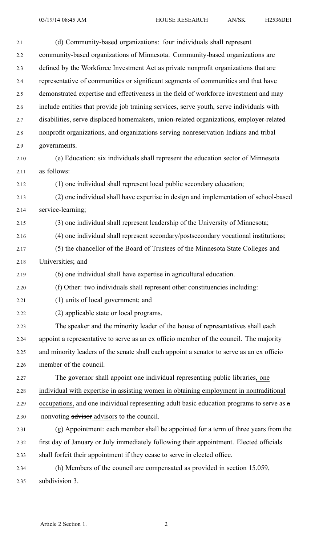| 2.1  | (d) Community-based organizations: four individuals shall represent                       |
|------|-------------------------------------------------------------------------------------------|
| 2.2  | community-based organizations of Minnesota. Community-based organizations are             |
| 2.3  | defined by the Workforce Investment Act as private nonprofit organizations that are       |
| 2.4  | representative of communities or significant segments of communities and that have        |
| 2.5  | demonstrated expertise and effectiveness in the field of workforce investment and may     |
| 2.6  | include entities that provide job training services, serve youth, serve individuals with  |
| 2.7  | disabilities, serve displaced homemakers, union-related organizations, employer-related   |
| 2.8  | nonprofit organizations, and organizations serving nonreservation Indians and tribal      |
| 2.9  | governments.                                                                              |
| 2.10 | (e) Education: six individuals shall represent the education sector of Minnesota          |
| 2.11 | as follows:                                                                               |
| 2.12 | (1) one individual shall represent local public secondary education;                      |
| 2.13 | (2) one individual shall have expertise in design and implementation of school-based      |
| 2.14 | service-learning;                                                                         |
| 2.15 | (3) one individual shall represent leadership of the University of Minnesota;             |
| 2.16 | (4) one individual shall represent secondary/postsecondary vocational institutions;       |
| 2.17 | (5) the chancellor of the Board of Trustees of the Minnesota State Colleges and           |
| 2.18 | Universities; and                                                                         |
| 2.19 | (6) one individual shall have expertise in agricultural education.                        |
| 2.20 | (f) Other: two individuals shall represent other constituencies including:                |
| 2.21 | (1) units of local government; and                                                        |
| 2.22 | (2) applicable state or local programs.                                                   |
| 2.23 | The speaker and the minority leader of the house of representatives shall each            |
| 2.24 | appoint a representative to serve as an ex officio member of the council. The majority    |
| 2.25 | and minority leaders of the senate shall each appoint a senator to serve as an ex officio |
| 2.26 | member of the council.                                                                    |
| 2.27 | The governor shall appoint one individual representing public libraries, one              |
| 2.28 | individual with expertise in assisting women in obtaining employment in nontraditional    |
| 2.29 | occupations, and one individual representing adult basic education programs to serve as a |
| 2.30 | nonvoting advisors advisors to the council.                                               |
| 2.31 | (g) Appointment: each member shall be appointed for a term of three years from the        |
| 2.32 | first day of January or July immediately following their appointment. Elected officials   |
| 2.33 | shall forfeit their appointment if they cease to serve in elected office.                 |
| 2.34 | (h) Members of the council are compensated as provided in section 15.059,                 |
| 2.35 | subdivision 3.                                                                            |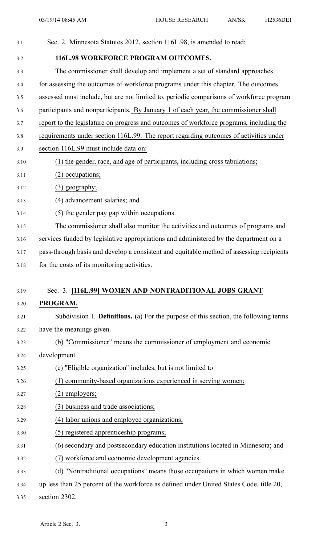| 3.1  | Sec. 2. Minnesota Statutes 2012, section 116L.98, is amended to read:                       |
|------|---------------------------------------------------------------------------------------------|
| 3.2  | <b>116L.98 WORKFORCE PROGRAM OUTCOMES.</b>                                                  |
| 3.3  | The commissioner shall develop and implement a set of standard approaches                   |
| 3.4  | for assessing the outcomes of workforce programs under this chapter. The outcomes           |
| 3.5  | assessed must include, but are not limited to, periodic comparisons of workforce program    |
| 3.6  | participants and nonparticipants. By January 1 of each year, the commissioner shall         |
| 3.7  | report to the legislature on progress and outcomes of workforce programs, including the     |
| 3.8  | requirements under section 116L.99. The report regarding outcomes of activities under       |
| 3.9  | section 116L.99 must include data on:                                                       |
| 3.10 | (1) the gender, race, and age of participants, including cross tabulations;                 |
| 3.11 | (2) occupations;                                                                            |
| 3.12 | $(3)$ geography;                                                                            |
| 3.13 | (4) advancement salaries; and                                                               |
| 3.14 | (5) the gender pay gap within occupations.                                                  |
| 3.15 | The commissioner shall also monitor the activities and outcomes of programs and             |
| 3.16 | services funded by legislative appropriations and administered by the department on a       |
| 3.17 | pass-through basis and develop a consistent and equitable method of assessing recipients    |
| 3.18 | for the costs of its monitoring activities.                                                 |
|      |                                                                                             |
| 3.19 | Sec. 3. [116L.99] WOMEN AND NONTRADITIONAL JOBS GRANT                                       |
| 3.20 | PROGRAM.                                                                                    |
| 3.21 | Subdivision 1. <b>Definitions.</b> (a) For the purpose of this section, the following terms |
| 3.22 | have the meanings given.                                                                    |
| 3.23 | (b) "Commissioner" means the commissioner of employment and economic                        |
| 3.24 | development.                                                                                |
| 3.25 | (c) "Eligible organization" includes, but is not limited to:                                |
| 3.26 | (1) community-based organizations experienced in serving women;                             |
| 3.27 | $(2)$ employers;                                                                            |
| 3.28 | (3) business and trade associations;                                                        |
| 3.29 | (4) labor unions and employee organizations;                                                |
| 3.30 | (5) registered apprenticeship programs;                                                     |
| 3.31 | (6) secondary and postsecondary education institutions located in Minnesota; and            |
| 3.32 | (7) workforce and economic development agencies.                                            |
| 3.33 | (d) "Nontraditional occupations" means those occupations in which women make                |
| 3.34 | up less than 25 percent of the workforce as defined under United States Code, title 20,     |
| 3.35 | section 2302.                                                                               |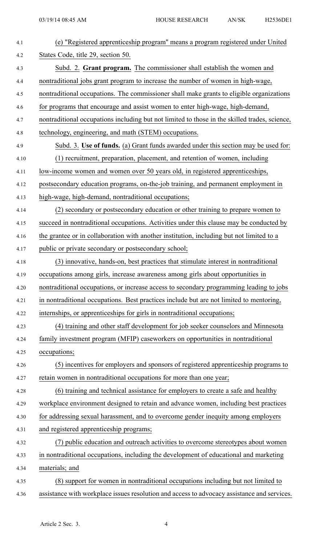| 4.1  | (e) "Registered apprenticeship program" means a program registered under United               |
|------|-----------------------------------------------------------------------------------------------|
| 4.2  | States Code, title 29, section 50.                                                            |
| 4.3  | Subd. 2. Grant program. The commissioner shall establish the women and                        |
| 4.4  | nontraditional jobs grant program to increase the number of women in high-wage,               |
| 4.5  | nontraditional occupations. The commissioner shall make grants to eligible organizations      |
| 4.6  | for programs that encourage and assist women to enter high-wage, high-demand,                 |
| 4.7  | nontraditional occupations including but not limited to those in the skilled trades, science, |
| 4.8  | technology, engineering, and math (STEM) occupations.                                         |
| 4.9  | Subd. 3. Use of funds. (a) Grant funds awarded under this section may be used for:            |
| 4.10 | (1) recruitment, preparation, placement, and retention of women, including                    |
| 4.11 | low-income women and women over 50 years old, in registered apprenticeships,                  |
| 4.12 | postsecondary education programs, on-the-job training, and permanent employment in            |
| 4.13 | high-wage, high-demand, nontraditional occupations;                                           |
| 4.14 | (2) secondary or postsecondary education or other training to prepare women to                |
| 4.15 | succeed in nontraditional occupations. Activities under this clause may be conducted by       |
| 4.16 | the grantee or in collaboration with another institution, including but not limited to a      |
| 4.17 | public or private secondary or postsecondary school;                                          |
| 4.18 | (3) innovative, hands-on, best practices that stimulate interest in nontraditional            |
| 4.19 | occupations among girls, increase awareness among girls about opportunities in                |
| 4.20 | nontraditional occupations, or increase access to secondary programming leading to jobs       |
| 4.21 | in nontraditional occupations. Best practices include but are not limited to mentoring,       |
| 4.22 | internships, or apprenticeships for girls in nontraditional occupations;                      |
| 4.23 | (4) training and other staff development for job seeker counselors and Minnesota              |
| 4.24 | family investment program (MFIP) caseworkers on opportunities in nontraditional               |
| 4.25 | occupations;                                                                                  |
| 4.26 | (5) incentives for employers and sponsors of registered apprenticeship programs to            |
| 4.27 | retain women in nontraditional occupations for more than one year;                            |
| 4.28 | (6) training and technical assistance for employers to create a safe and healthy              |
| 4.29 | workplace environment designed to retain and advance women, including best practices          |
| 4.30 | for addressing sexual harassment, and to overcome gender inequity among employers             |
| 4.31 | and registered apprenticeship programs;                                                       |
| 4.32 | (7) public education and outreach activities to overcome stereotypes about women              |
| 4.33 | in nontraditional occupations, including the development of educational and marketing         |
| 4.34 | materials; and                                                                                |
| 4.35 | (8) support for women in nontraditional occupations including but not limited to              |
| 4.36 | assistance with workplace issues resolution and access to advocacy assistance and services.   |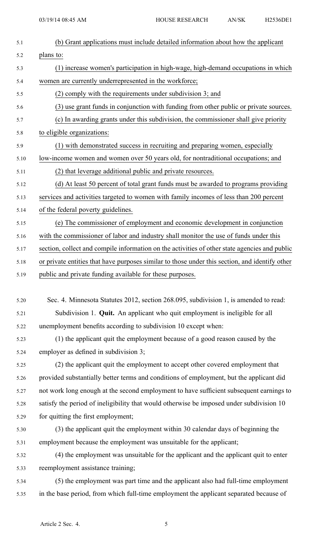| 5.1  | (b) Grant applications must include detailed information about how the applicant               |
|------|------------------------------------------------------------------------------------------------|
| 5.2  | plans to:                                                                                      |
| 5.3  | (1) increase women's participation in high-wage, high-demand occupations in which              |
| 5.4  | women are currently underrepresented in the workforce;                                         |
| 5.5  | (2) comply with the requirements under subdivision 3; and                                      |
| 5.6  | (3) use grant funds in conjunction with funding from other public or private sources.          |
| 5.7  | (c) In awarding grants under this subdivision, the commissioner shall give priority            |
| 5.8  | to eligible organizations:                                                                     |
| 5.9  | (1) with demonstrated success in recruiting and preparing women, especially                    |
| 5.10 | low-income women and women over 50 years old, for nontraditional occupations; and              |
| 5.11 | (2) that leverage additional public and private resources.                                     |
| 5.12 | (d) At least 50 percent of total grant funds must be awarded to programs providing             |
| 5.13 | services and activities targeted to women with family incomes of less than 200 percent         |
| 5.14 | of the federal poverty guidelines.                                                             |
| 5.15 | (e) The commissioner of employment and economic development in conjunction                     |
| 5.16 | with the commissioner of labor and industry shall monitor the use of funds under this          |
| 5.17 | section, collect and compile information on the activities of other state agencies and public  |
| 5.18 | or private entities that have purposes similar to those under this section, and identify other |
| 5.19 | public and private funding available for these purposes.                                       |
|      |                                                                                                |
| 5.20 | Sec. 4. Minnesota Statutes 2012, section 268.095, subdivision 1, is amended to read:           |
| 5.21 | Subdivision 1. Quit. An applicant who quit employment is ineligible for all                    |
| 5.22 | unemployment benefits according to subdivision 10 except when:                                 |
| 5.23 | (1) the applicant quit the employment because of a good reason caused by the                   |
| 5.24 | employer as defined in subdivision 3;                                                          |
| 5.25 | (2) the applicant quit the employment to accept other covered employment that                  |
| 5.26 | provided substantially better terms and conditions of employment, but the applicant did        |
| 5.27 | not work long enough at the second employment to have sufficient subsequent earnings to        |
| 5.28 | satisfy the period of ineligibility that would otherwise be imposed under subdivision 10       |
| 5.29 | for quitting the first employment;                                                             |
| 5.30 | (3) the applicant quit the employment within 30 calendar days of beginning the                 |
| 5.31 | employment because the employment was unsuitable for the applicant;                            |
| 5.32 | (4) the employment was unsuitable for the applicant and the applicant quit to enter            |
| 5.33 | reemployment assistance training;                                                              |
| 5.34 | (5) the employment was part time and the applicant also had full-time employment               |
| 5.35 | in the base period, from which full-time employment the applicant separated because of         |
|      |                                                                                                |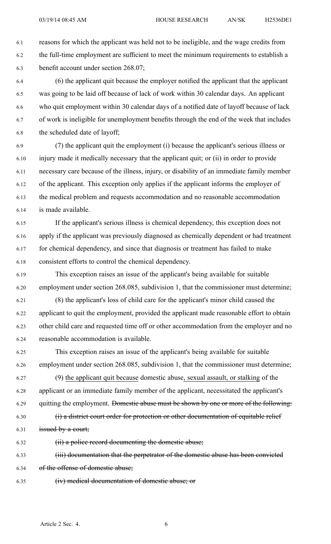6.1 reasons for which the applicant was held not to be ineligible, and the wage credits from 6.2 the full-time employment are sufficient to meet the minimum requirements to establish <sup>a</sup> 6.3 benefit account under section 268.07;

6.4 (6) the applicant quit because the employer notified the applicant that the applicant 6.5 was going to be laid off because of lack of work within 30 calendar days. An applicant 6.6 who quit employment within 30 calendar days of <sup>a</sup> notified date of layoff because of lack 6.7 of work is ineligible for unemployment benefits through the end of the week that includes 6.8 the scheduled date of layoff;

6.9 (7) the applicant quit the employment (i) because the applicant's serious illness or 6.10 injury made it medically necessary that the applicant quit; or (ii) in order to provide 6.11 necessary care because of the illness, injury, or disability of an immediate family member 6.12 of the applicant. This exception only applies if the applicant informs the employer of 6.13 the medical problem and requests accommodation and no reasonable accommodation 6.14 is made available.

6.15 If the applicant's serious illness is chemical dependency, this exception does not 6.16 apply if the applicant was previously diagnosed as chemically dependent or had treatment 6.17 for chemical dependency, and since that diagnosis or treatment has failed to make 6.18 consistent efforts to control the chemical dependency.

6.19 This exception raises an issue of the applicant's being available for suitable 6.20 employment under section 268.085, subdivision 1, that the commissioner must determine;

6.21 (8) the applicant's loss of child care for the applicant's minor child caused the 6.22 applicant to quit the employment, provided the applicant made reasonable effort to obtain 6.23 other child care and requested time off or other accommodation from the employer and no 6.24 reasonable accommodation is available.

6.25 This exception raises an issue of the applicant's being available for suitable 6.26 employment under section 268.085, subdivision 1, that the commissioner must determine;

6.27 (9) the applicant quit because domestic abuse, sexual assault, or stalking of the 6.28 applicant or an immediate family member of the applicant, necessitated the applicant's 6.29 quitting the employment. Domestic abuse must be shown by one or more of the following: 6.30 (i) <sup>a</sup> district court order for protection or other documentation of equitable relief

6.31 issued by <sup>a</sup> court;

6.32 (ii) <sup>a</sup> police record documenting the domestic abuse;

6.33 (iii) documentation that the perpetrator of the domestic abuse has been convicted 6.34 of the offense of domestic abuse;

6.35 (iv) medical documentation of domestic abuse; or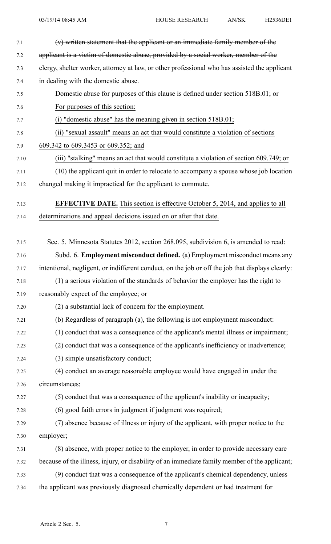| (v) written statement that the applicant or an immediate family member of the                    |
|--------------------------------------------------------------------------------------------------|
| applicant is a victim of domestic abuse, provided by a social worker, member of the              |
| elergy, shelter worker, attorney at law, or other professional who has assisted the applicant    |
| in dealing with the domestic abuse.                                                              |
| Domestic abuse for purposes of this clause is defined under section 518B.01; or                  |
| For purposes of this section:                                                                    |
| (i) "domestic abuse" has the meaning given in section $518B.01$ ;                                |
| (ii) "sexual assault" means an act that would constitute a violation of sections                 |
| 609.342 to 609.3453 or 609.352; and                                                              |
| (iii) "stalking" means an act that would constitute a violation of section 609.749; or           |
| (10) the applicant quit in order to relocate to accompany a spouse whose job location            |
| changed making it impractical for the applicant to commute.                                      |
| <b>EFFECTIVE DATE.</b> This section is effective October 5, 2014, and applies to all             |
| determinations and appeal decisions issued on or after that date.                                |
| Sec. 5. Minnesota Statutes 2012, section 268.095, subdivision 6, is amended to read:             |
| Subd. 6. Employment misconduct defined. (a) Employment misconduct means any                      |
| intentional, negligent, or indifferent conduct, on the job or off the job that displays clearly: |
| (1) a serious violation of the standards of behavior the employer has the right to               |
| reasonably expect of the employee; or                                                            |
| (2) a substantial lack of concern for the employment.                                            |
| (b) Regardless of paragraph (a), the following is not employment misconduct:                     |
| (1) conduct that was a consequence of the applicant's mental illness or impairment;              |
| (2) conduct that was a consequence of the applicant's inefficiency or inadvertence;              |
| (3) simple unsatisfactory conduct;                                                               |
| (4) conduct an average reasonable employee would have engaged in under the                       |
| circumstances;                                                                                   |
| (5) conduct that was a consequence of the applicant's inability or incapacity;                   |
| (6) good faith errors in judgment if judgment was required;                                      |
| (7) absence because of illness or injury of the applicant, with proper notice to the             |
| employer;                                                                                        |
| (8) absence, with proper notice to the employer, in order to provide necessary care              |
| because of the illness, injury, or disability of an immediate family member of the applicant;    |
| (9) conduct that was a consequence of the applicant's chemical dependency, unless                |
| the applicant was previously diagnosed chemically dependent or had treatment for                 |
|                                                                                                  |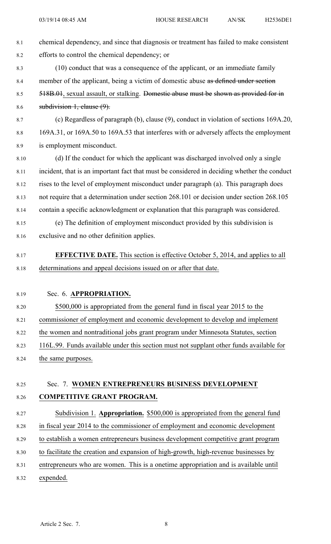- 8.1 chemical dependency, and since that diagnosis or treatment has failed to make consistent 8.2 efforts to control the chemical dependency; or 8.3 (10) conduct that was <sup>a</sup> consequence of the applicant, or an immediate family 8.4 member of the applicant, being a victim of domestic abuse as defined under section 8.5 518B.01, sexual assault, or stalking. Domestic abuse must be shown as provided for in 8.6 subdivision 1, clause (9). 8.7 (c) Regardless of paragraph (b), clause (9), conduct in violation of sections 169A.20, 8.8 169A.31, or 169A.50 to 169A.53 that interferes with or adversely affects the employment 8.9 is employment misconduct. 8.10 (d) If the conduct for which the applicant was discharged involved only <sup>a</sup> single 8.11 incident, that is an important fact that must be considered in deciding whether the conduct 8.12 rises to the level of employment misconduct under paragraph (a). This paragraph does 8.13 not require that <sup>a</sup> determination under section 268.101 or decision under section 268.105 8.14 contain <sup>a</sup> specific acknowledgment or explanation that this paragraph was considered. 8.15 (e) The definition of employment misconduct provided by this subdivision is 8.16 exclusive and no other definition applies. 8.17 **EFFECTIVE DATE.** This section is effective October 5, 2014, and applies to all 8.18 determinations and appeal decisions issued on or after that date. 8.19 Sec. 6. **APPROPRIATION.** 8.20 \$500,000 is appropriated from the general fund in fiscal year 2015 to the 8.21 commissioner of employment and economic development to develop and implement 8.22 the women and nontraditional jobs gran<sup>t</sup> program under Minnesota Statutes, section 8.23 116L.99. Funds available under this section must not supplant other funds available for 8.24 the same purposes. 8.25 Sec. 7. **WOMEN ENTREPRENEURS BUSINESS DEVELOPMENT** 8.26 **COMPETITIVE GRANT PROGRAM.** 8.27 Subdivision 1. **Appropriation.** \$500,000 is appropriated from the general fund 8.28 in fiscal year 2014 to the commissioner of employment and economic development 8.29 to establish <sup>a</sup> women entrepreneurs business development competitive gran<sup>t</sup> program 8.30 to facilitate the creation and expansion of high-growth, high-revenue businesses by
- 8.31 entrepreneurs who are women. This is <sup>a</sup> onetime appropriation and is available until 8.32 expended.
	- Article 2 Sec. 7. 8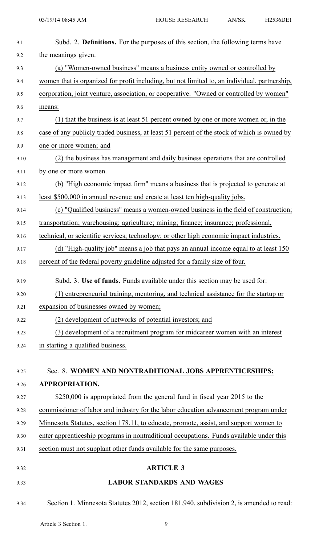| 9.1  | Subd. 2. Definitions. For the purposes of this section, the following terms have              |
|------|-----------------------------------------------------------------------------------------------|
| 9.2  | the meanings given.                                                                           |
| 9.3  | (a) "Women-owned business" means a business entity owned or controlled by                     |
| 9.4  | women that is organized for profit including, but not limited to, an individual, partnership, |
| 9.5  | corporation, joint venture, association, or cooperative. "Owned or controlled by women"       |
| 9.6  | means:                                                                                        |
| 9.7  | (1) that the business is at least 51 percent owned by one or more women or, in the            |
| 9.8  | case of any publicly traded business, at least 51 percent of the stock of which is owned by   |
| 9.9  | one or more women; and                                                                        |
| 9.10 | (2) the business has management and daily business operations that are controlled             |
| 9.11 | by one or more women.                                                                         |
| 9.12 | (b) "High economic impact firm" means a business that is projected to generate at             |
| 9.13 | least \$500,000 in annual revenue and create at least ten high-quality jobs.                  |
| 9.14 | (c) "Qualified business" means a women-owned business in the field of construction;           |
| 9.15 | transportation; warehousing; agriculture; mining; finance; insurance; professional,           |
| 9.16 | technical, or scientific services; technology; or other high economic impact industries.      |
| 9.17 | (d) "High-quality job" means a job that pays an annual income equal to at least 150           |
| 9.18 | percent of the federal poverty guideline adjusted for a family size of four.                  |
| 9.19 | Subd. 3. Use of funds. Funds available under this section may be used for:                    |
| 9.20 | (1) entrepreneurial training, mentoring, and technical assistance for the startup or          |
| 9.21 | expansion of businesses owned by women;                                                       |
| 9.22 | (2) development of networks of potential investors; and                                       |
| 9.23 | (3) development of a recruitment program for midcareer women with an interest                 |
| 9.24 | in starting a qualified business.                                                             |
|      |                                                                                               |
| 9.25 | Sec. 8. WOMEN AND NONTRADITIONAL JOBS APPRENTICESHIPS;                                        |
| 9.26 | APPROPRIATION.                                                                                |
| 9.27 | \$250,000 is appropriated from the general fund in fiscal year 2015 to the                    |
| 9.28 | commissioner of labor and industry for the labor education advancement program under          |
| 9.29 | Minnesota Statutes, section 178.11, to educate, promote, assist, and support women to         |
| 9.30 | enter apprenticeship programs in nontraditional occupations. Funds available under this       |
| 9.31 | section must not supplant other funds available for the same purposes.                        |
| 9.32 | <b>ARTICLE 3</b>                                                                              |
| 9.33 | <b>LABOR STANDARDS AND WAGES</b>                                                              |
| 9.34 | Section 1. Minnesota Statutes 2012, section 181.940, subdivision 2, is amended to read:       |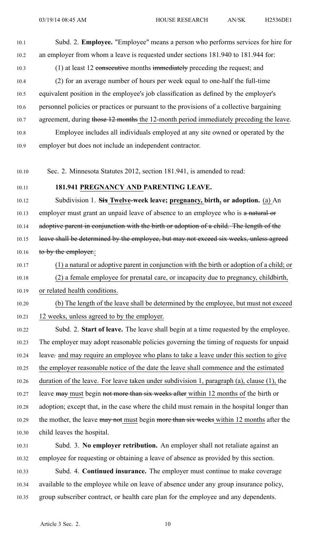- 10.1 Subd. 2. **Employee.** "Employee" means <sup>a</sup> person who performs services for hire for 10.2 an employer from whom <sup>a</sup> leave is requested under sections 181.940 to 181.944 for: 10.3 (1) at least 12 consecutive months immediately preceding the request; and 10.4 (2) for an average number of hours per week equal to one-half the full-time 10.5 equivalent position in the employee's job classification as defined by the employer's 10.6 personnel policies or practices or pursuan<sup>t</sup> to the provisions of <sup>a</sup> collective bargaining 10.7 agreement, during those 12 months the 12-month period immediately preceding the leave. 10.8 Employee includes all individuals employed at any site owned or operated by the 10.9 employer but does not include an independent contractor. 10.10 Sec. 2. Minnesota Statutes 2012, section 181.941, is amended to read: 10.11 **181.941 PREGNANCY AND PARENTING LEAVE.** 10.12 Subdivision 1. **Six Twelve-week leave; pregnancy, birth, or adoption.** (a) An 10.13 employer must grant an unpaid leave of absence to an employee who is a natural or 10.14 adoptive parent in conjunction with the birth or adoption of a child. The length of the 10.15 leave shall be determined by the employee, but may not exceed six weeks, unless agreed 10.16 to by the employer.: 10.17 (1) <sup>a</sup> natural or adoptive paren<sup>t</sup> in conjunction with the birth or adoption of <sup>a</sup> child; or 10.18 (2) <sup>a</sup> female employee for prenatal care, or incapacity due to pregnancy, childbirth, 10.19 or related health conditions. 10.20 (b) The length of the leave shall be determined by the employee, but must not exceed 10.21 12 weeks, unless agreed to by the employer. 10.22 Subd. 2. **Start of leave.** The leave shall begin at <sup>a</sup> time requested by the employee. 10.23 The employer may adopt reasonable policies governing the timing of requests for unpaid 10.24 leave. and may require an employee who plans to take <sup>a</sup> leave under this section to give 10.25 the employer reasonable notice of the date the leave shall commence and the estimated 10.26 duration of the leave. For leave taken under subdivision 1, paragraph (a), clause (1), the 10.27 leave may must begin not more than six weeks after within 12 months of the birth or 10.28 adoption; excep<sup>t</sup> that, in the case where the child must remain in the hospital longer than 10.29 the mother, the leave may not must begin more than six weeks within 12 months after the 10.30 child leaves the hospital.
- 10.31 Subd. 3. **No employer retribution.** An employer shall not retaliate against an 10.32 employee for requesting or obtaining <sup>a</sup> leave of absence as provided by this section.
- 10.33 Subd. 4. **Continued insurance.** The employer must continue to make coverage 10.34 available to the employee while on leave of absence under any group insurance policy, 10.35 group subscriber contract, or health care plan for the employee and any dependents.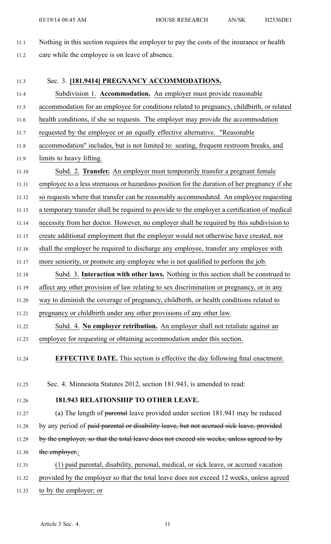- 11.1 Nothing in this section requires the employer to pay the costs of the insurance or health
- 11.2 care while the employee is on leave of absence.
- 11.3 Sec. 3. **[181.9414] PREGNANCY ACCOMMODATIONS.** 11.4 Subdivision 1. **Accommodation.** An employer must provide reasonable 11.5 accommodation for an employee for conditions related to pregnancy, childbirth, or related 11.6 health conditions, if she so requests. The employer may provide the accommodation 11.7 requested by the employee or an equally effective alternative. "Reasonable 11.8 accommodation" includes, but is not limited to: seating, frequent restroom breaks, and 11.9 limits to heavy lifting. 11.10 Subd. 2. **Transfer.** An employer must temporarily transfer <sup>a</sup> pregnan<sup>t</sup> female 11.11 employee to <sup>a</sup> less strenuous or hazardous position for the duration of her pregnancy if she 11.12 so requests where that transfer can be reasonably accommodated. An employee requesting 11.13 <sup>a</sup> temporary transfer shall be required to provide to the employer <sup>a</sup> certification of medical 11.14 necessity from her doctor. However, no employer shall be required by this subdivision to 11.15 create additional employment that the employer would not otherwise have created, nor 11.16 shall the employer be required to discharge any employee, transfer any employee with 11.17 more seniority, or promote any employee who is not qualified to perform the job. 11.18 Subd. 3. **Interaction with other laws.** Nothing in this section shall be construed to 11.19 affect any other provision of law relating to sex discrimination or pregnancy, or in any 11.20 way to diminish the coverage of pregnancy, childbirth, or health conditions related to 11.21 pregnancy or childbirth under any other provisions of any other law. 11.22 Subd. 4. **No employer retribution.** An employer shall not retaliate against an 11.23 employee for requesting or obtaining accommodation under this section. 11.24 **EFFECTIVE DATE.** This section is effective the day following final enactment. 11.25 Sec. 4. Minnesota Statutes 2012, section 181.943, is amended to read: 11.26 **181.943 RELATIONSHIP TO OTHER LEAVE.** 11.27 (a) The length of parental leave provided under section 181.941 may be reduced 11.28 by any period of paid parental or disability leave, but not accrued sick leave, provided 11.29 by the employer, so that the total leave does not exceed six weeks, unless agreed to by 11.30 the employer.: 11.31 (1) paid parental, disability, personal, medical, or sick leave, or accrued vacation 11.32 provided by the employer so that the total leave does not exceed 12 weeks, unless agreed 11.33 to by the employer; or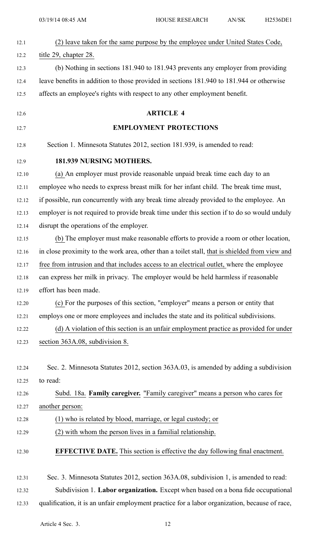| 12.1  | (2) leave taken for the same purpose by the employee under United States Code,                 |
|-------|------------------------------------------------------------------------------------------------|
| 12.2  | title 29, chapter 28.                                                                          |
| 12.3  | (b) Nothing in sections 181.940 to 181.943 prevents any employer from providing                |
| 12.4  | leave benefits in addition to those provided in sections 181.940 to 181.944 or otherwise       |
| 12.5  | affects an employee's rights with respect to any other employment benefit.                     |
|       | <b>ARTICLE 4</b>                                                                               |
| 12.6  |                                                                                                |
| 12.7  | <b>EMPLOYMENT PROTECTIONS</b>                                                                  |
| 12.8  | Section 1. Minnesota Statutes 2012, section 181.939, is amended to read:                       |
| 12.9  | 181.939 NURSING MOTHERS.                                                                       |
| 12.10 | (a) An employer must provide reasonable unpaid break time each day to an                       |
| 12.11 | employee who needs to express breast milk for her infant child. The break time must,           |
| 12.12 | if possible, run concurrently with any break time already provided to the employee. An         |
| 12.13 | employer is not required to provide break time under this section if to do so would unduly     |
| 12.14 | disrupt the operations of the employer.                                                        |
| 12.15 | (b) The employer must make reasonable efforts to provide a room or other location,             |
| 12.16 | in close proximity to the work area, other than a toilet stall, that is shielded from view and |
| 12.17 | free from intrusion and that includes access to an electrical outlet, where the employee       |
| 12.18 | can express her milk in privacy. The employer would be held harmless if reasonable             |
| 12.19 | effort has been made.                                                                          |
| 12.20 | (c) For the purposes of this section, "employer" means a person or entity that                 |
| 12.21 | employs one or more employees and includes the state and its political subdivisions.           |
| 12.22 | (d) A violation of this section is an unfair employment practice as provided for under         |
| 12.23 | section 363A.08, subdivision 8.                                                                |
|       |                                                                                                |
| 12.24 | Sec. 2. Minnesota Statutes 2012, section 363A.03, is amended by adding a subdivision           |
| 12.25 | to read:                                                                                       |
| 12.26 | Subd. 18a. Family caregiver. "Family caregiver" means a person who cares for                   |
| 12.27 | another person:                                                                                |
| 12.28 | (1) who is related by blood, marriage, or legal custody; or                                    |
| 12.29 | (2) with whom the person lives in a familial relationship.                                     |
| 12.30 | <b>EFFECTIVE DATE.</b> This section is effective the day following final enactment.            |
| 12.31 | Sec. 3. Minnesota Statutes 2012, section 363A.08, subdivision 1, is amended to read:           |
| 12.32 | Subdivision 1. Labor organization. Except when based on a bona fide occupational               |

12.33 qualification, it is an unfair employment practice for <sup>a</sup> labor organization, because of race,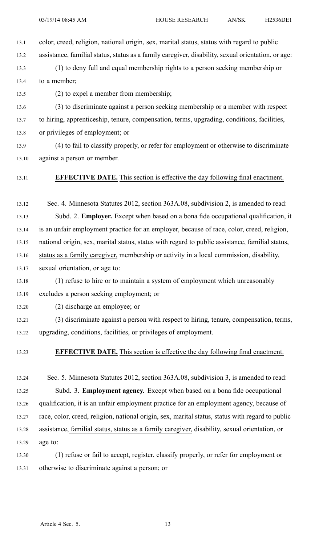- 13.1 color, creed, religion, national origin, sex, marital status, status with regard to public
- 13.2 assistance, familial status, status as <sup>a</sup> family caregiver, disability, sexual orientation, or age:
- 13.3 (1) to deny full and equal membership rights to <sup>a</sup> person seeking membership or 13.4 to a member;

13.5 (2) to expel <sup>a</sup> member from membership;

13.6 (3) to discriminate against <sup>a</sup> person seeking membership or <sup>a</sup> member with respec<sup>t</sup>

13.7 to hiring, apprenticeship, tenure, compensation, terms, upgrading, conditions, facilities,

13.8 or privileges of employment; or

13.9 (4) to fail to classify properly, or refer for employment or otherwise to discriminate 13.10 against <sup>a</sup> person or member.

13.11 **EFFECTIVE DATE.** This section is effective the day following final enactment.

13.12 Sec. 4. Minnesota Statutes 2012, section 363A.08, subdivision 2, is amended to read:

13.13 Subd. 2. **Employer.** Except when based on <sup>a</sup> bona fide occupational qualification, it

13.14 is an unfair employment practice for an employer, because of race, color, creed, religion,

13.15 national origin, sex, marital status, status with regard to public assistance, familial status,

13.16 status as <sup>a</sup> family caregiver, membership or activity in <sup>a</sup> local commission, disability,

13.17 sexual orientation, or age to:

13.18 (1) refuse to hire or to maintain <sup>a</sup> system of employment which unreasonably

13.19 excludes <sup>a</sup> person seeking employment; or

13.20 (2) discharge an employee; or

13.21 (3) discriminate against <sup>a</sup> person with respec<sup>t</sup> to hiring, tenure, compensation, terms, 13.22 upgrading, conditions, facilities, or privileges of employment.

## 13.23 **EFFECTIVE DATE.** This section is effective the day following final enactment.

13.24 Sec. 5. Minnesota Statutes 2012, section 363A.08, subdivision 3, is amended to read: 13.25 Subd. 3. **Employment agency.** Except when based on <sup>a</sup> bona fide occupational 13.26 qualification, it is an unfair employment practice for an employment agency, because of 13.27 race, color, creed, religion, national origin, sex, marital status, status with regard to public 13.28 assistance, familial status, status as <sup>a</sup> family caregiver, disability, sexual orientation, or 13.29 age to:

13.30 (1) refuse or fail to accept, register, classify properly, or refer for employment or 13.31 otherwise to discriminate against <sup>a</sup> person; or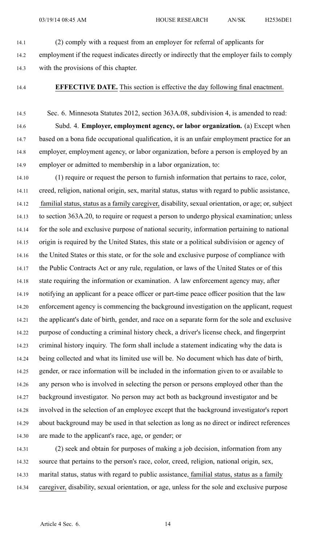14.1 (2) comply with <sup>a</sup> reques<sup>t</sup> from an employer for referral of applicants for

14.2 employment if the reques<sup>t</sup> indicates directly or indirectly that the employer fails to comply 14.3 with the provisions of this chapter.

14.4 **EFFECTIVE DATE.** This section is effective the day following final enactment.

14.5 Sec. 6. Minnesota Statutes 2012, section 363A.08, subdivision 4, is amended to read: 14.6 Subd. 4. **Employer, employment agency, or labor organization.** (a) Except when 14.7 based on <sup>a</sup> bona fide occupational qualification, it is an unfair employment practice for an 14.8 employer, employment agency, or labor organization, before <sup>a</sup> person is employed by an 14.9 employer or admitted to membership in <sup>a</sup> labor organization, to:

14.10 (1) require or reques<sup>t</sup> the person to furnish information that pertains to race, color, 14.11 creed, religion, national origin, sex, marital status, status with regard to public assistance, 14.12 familial status, status as <sup>a</sup> family caregiver, disability, sexual orientation, or age; or, subject 14.13 to section 363A.20, to require or reques<sup>t</sup> <sup>a</sup> person to undergo physical examination; unless 14.14 for the sole and exclusive purpose of national security, information pertaining to national 14.15 origin is required by the United States, this state or <sup>a</sup> political subdivision or agency of 14.16 the United States or this state, or for the sole and exclusive purpose of compliance with 14.17 the Public Contracts Act or any rule, regulation, or laws of the United States or of this 14.18 state requiring the information or examination. A law enforcement agency may, after 14.19 notifying an applicant for <sup>a</sup> peace officer or part-time peace officer position that the law 14.20 enforcement agency is commencing the background investigation on the applicant, reques<sup>t</sup> 14.21 the applicant's date of birth, gender, and race on <sup>a</sup> separate form for the sole and exclusive 14.22 purpose of conducting <sup>a</sup> criminal history check, <sup>a</sup> driver's license check, and fingerprint 14.23 criminal history inquiry. The form shall include <sup>a</sup> statement indicating why the data is 14.24 being collected and what its limited use will be. No document which has date of birth, 14.25 gender, or race information will be included in the information given to or available to 14.26 any person who is involved in selecting the person or persons employed other than the 14.27 background investigator. No person may act both as background investigator and be 14.28 involved in the selection of an employee excep<sup>t</sup> that the background investigator's repor<sup>t</sup> 14.29 about background may be used in that selection as long as no direct or indirect references 14.30 are made to the applicant's race, age, or gender; or

14.31 (2) seek and obtain for purposes of making <sup>a</sup> job decision, information from any 14.32 source that pertains to the person's race, color, creed, religion, national origin, sex, 14.33 marital status, status with regard to public assistance, familial status, status as <sup>a</sup> family 14.34 caregiver, disability, sexual orientation, or age, unless for the sole and exclusive purpose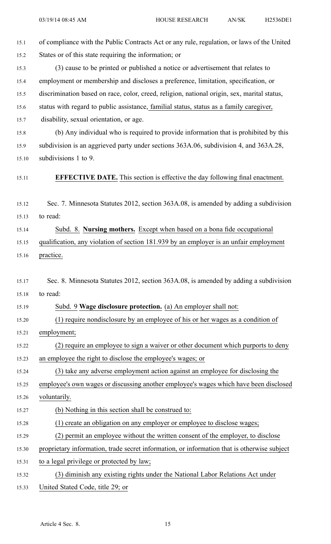| 15.1  | of compliance with the Public Contracts Act or any rule, regulation, or laws of the United  |
|-------|---------------------------------------------------------------------------------------------|
| 15.2  | States or of this state requiring the information; or                                       |
| 15.3  | (3) cause to be printed or published a notice or advertisement that relates to              |
| 15.4  | employment or membership and discloses a preference, limitation, specification, or          |
| 15.5  | discrimination based on race, color, creed, religion, national origin, sex, marital status, |
| 15.6  | status with regard to public assistance, familial status, status as a family caregiver,     |
| 15.7  | disability, sexual orientation, or age.                                                     |
| 15.8  | (b) Any individual who is required to provide information that is prohibited by this        |
| 15.9  | subdivision is an aggrieved party under sections 363A.06, subdivision 4, and 363A.28,       |
| 15.10 | subdivisions 1 to 9.                                                                        |
| 15.11 | <b>EFFECTIVE DATE.</b> This section is effective the day following final enactment.         |
| 15.12 | Sec. 7. Minnesota Statutes 2012, section 363A.08, is amended by adding a subdivision        |
| 15.13 | to read:                                                                                    |
| 15.14 | Subd. 8. Nursing mothers. Except when based on a bona fide occupational                     |
| 15.15 | qualification, any violation of section 181.939 by an employer is an unfair employment      |
| 15.16 | practice.                                                                                   |
|       |                                                                                             |
| 15.17 | Sec. 8. Minnesota Statutes 2012, section 363A.08, is amended by adding a subdivision        |
| 15.18 | to read:                                                                                    |
| 15.19 | Subd. 9 Wage disclosure protection. (a) An employer shall not:                              |
| 15.20 | (1) require nondisclosure by an employee of his or her wages as a condition of              |
| 15.21 | employment;                                                                                 |
| 15.22 | (2) require an employee to sign a waiver or other document which purports to deny           |
| 15.23 | an employee the right to disclose the employee's wages; or                                  |
| 15.24 | (3) take any adverse employment action against an employee for disclosing the               |
| 15.25 | employee's own wages or discussing another employee's wages which have been disclosed       |
| 15.26 | voluntarily.                                                                                |
| 15.27 | (b) Nothing in this section shall be construed to:                                          |
| 15.28 | (1) create an obligation on any employer or employee to disclose wages;                     |
| 15.29 | (2) permit an employee without the written consent of the employer, to disclose             |
| 15.30 | proprietary information, trade secret information, or information that is otherwise subject |
| 15.31 | to a legal privilege or protected by law;                                                   |
| 15.32 | (3) diminish any existing rights under the National Labor Relations Act under               |
| 15.33 | United Stated Code, title 29; or                                                            |